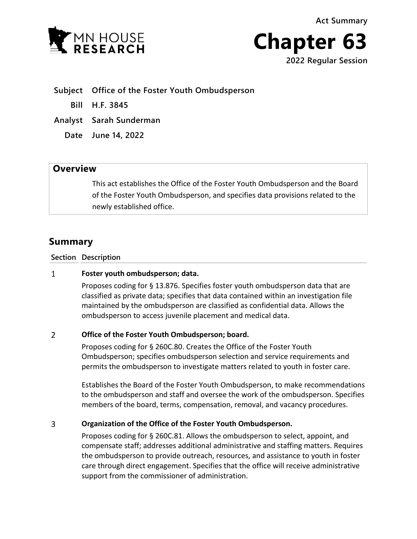**Act Summary**





**Subject Office of the Foster Youth Ombudsperson**

**Bill H.F. 3845**

**Analyst Sarah Sunderman**

**Date June 14, 2022**

## **Overview**

This act establishes the Office of the Foster Youth Ombudsperson and the Board of the Foster Youth Ombudsperson, and specifies data provisions related to the newly established office.

# **Summary**

### **Section Description**

#### $\mathbf{1}$ **Foster youth ombudsperson; data.**

Proposes coding for § 13.876. Specifies foster youth ombudsperson data that are classified as private data; specifies that data contained within an investigation file maintained by the ombudsperson are classified as confidential data. Allows the ombudsperson to access juvenile placement and medical data.

### $\overline{2}$ **Office of the Foster Youth Ombudsperson; board.**

Proposes coding for § 260C.80. Creates the Office of the Foster Youth Ombudsperson; specifies ombudsperson selection and service requirements and permits the ombudsperson to investigate matters related to youth in foster care.

Establishes the Board of the Foster Youth Ombudsperson, to make recommendations to the ombudsperson and staff and oversee the work of the ombudsperson. Specifies members of the board, terms, compensation, removal, and vacancy procedures.

#### $\overline{3}$ **Organization of the Office of the Foster Youth Ombudsperson.**

Proposes coding for § 260C.81. Allows the ombudsperson to select, appoint, and compensate staff; addresses additional administrative and staffing matters. Requires the ombudsperson to provide outreach, resources, and assistance to youth in foster care through direct engagement. Specifies that the office will receive administrative support from the commissioner of administration.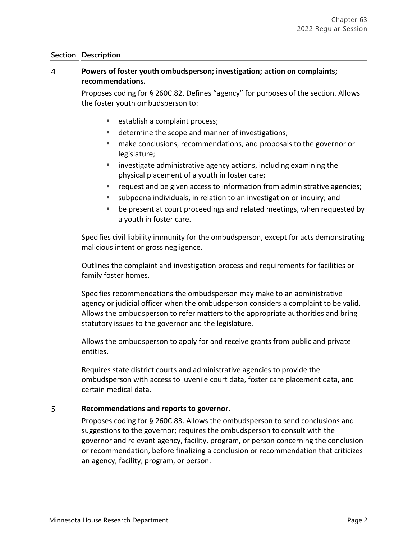### **Section Description**

### $\overline{4}$ **Powers of foster youth ombudsperson; investigation; action on complaints; recommendations.**

Proposes coding for § 260C.82. Defines "agency" for purposes of the section. Allows the foster youth ombudsperson to:

- establish a complaint process;
- determine the scope and manner of investigations;
- make conclusions, recommendations, and proposals to the governor or legislature;
- $\blacksquare$  investigate administrative agency actions, including examining the physical placement of a youth in foster care;
- request and be given access to information from administrative agencies;
- subpoena individuals, in relation to an investigation or inquiry; and
- **•** be present at court proceedings and related meetings, when requested by a youth in foster care.

Specifies civil liability immunity for the ombudsperson, except for acts demonstrating malicious intent or gross negligence.

Outlines the complaint and investigation process and requirements for facilities or family foster homes.

Specifies recommendations the ombudsperson may make to an administrative agency or judicial officer when the ombudsperson considers a complaint to be valid. Allows the ombudsperson to refer matters to the appropriate authorities and bring statutory issues to the governor and the legislature.

Allows the ombudsperson to apply for and receive grants from public and private entities.

Requires state district courts and administrative agencies to provide the ombudsperson with access to juvenile court data, foster care placement data, and certain medical data.

### 5 **Recommendations and reports to governor.**

Proposes coding for § 260C.83. Allows the ombudsperson to send conclusions and suggestions to the governor; requires the ombudsperson to consult with the governor and relevant agency, facility, program, or person concerning the conclusion or recommendation, before finalizing a conclusion or recommendation that criticizes an agency, facility, program, or person.